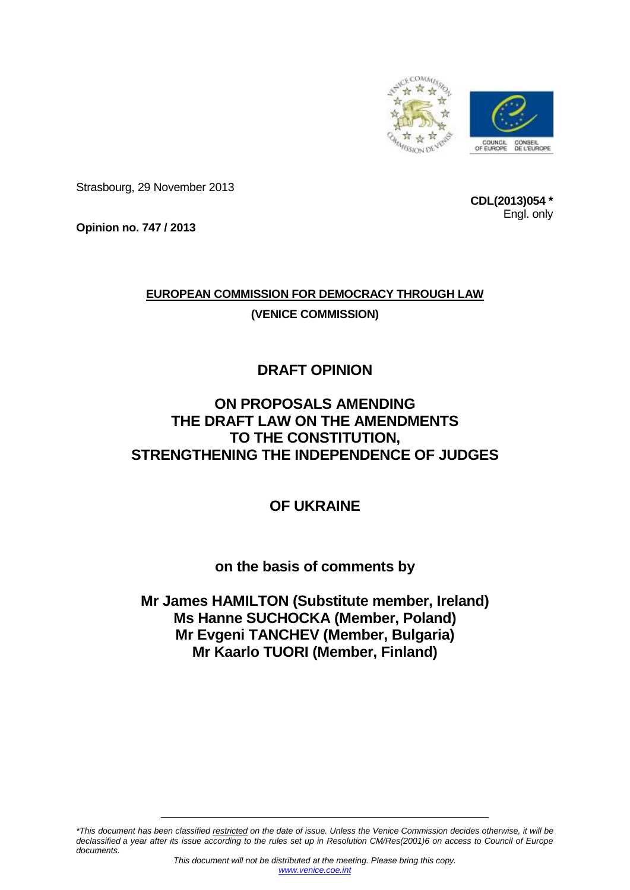

Strasbourg, 29 November 2013

**CDL(2013)054 \*** Engl. only

**Opinion no. 747 / 2013**

# **EUROPEAN COMMISSION FOR DEMOCRACY THROUGH LAW (VENICE COMMISSION)**

# **DRAFT OPINION**

## **ON PROPOSALS AMENDING THE DRAFT LAW ON THE AMENDMENTS TO THE CONSTITUTION, STRENGTHENING THE INDEPENDENCE OF JUDGES**

## **OF UKRAINE**

### **on the basis of comments by**

### **Mr James HAMILTON (Substitute member, Ireland) Ms Hanne SUCHOCKA (Member, Poland) Mr Evgeni TANCHEV (Member, Bulgaria) Mr Kaarlo TUORI (Member, Finland)**

*\*This document has been classified restricted on the date of issue. Unless the Venice Commission decides otherwise, it will be declassified a year after its issue according to the rules set up in Resolution CM/Res(2001)6 on access to Council of Europe documents.*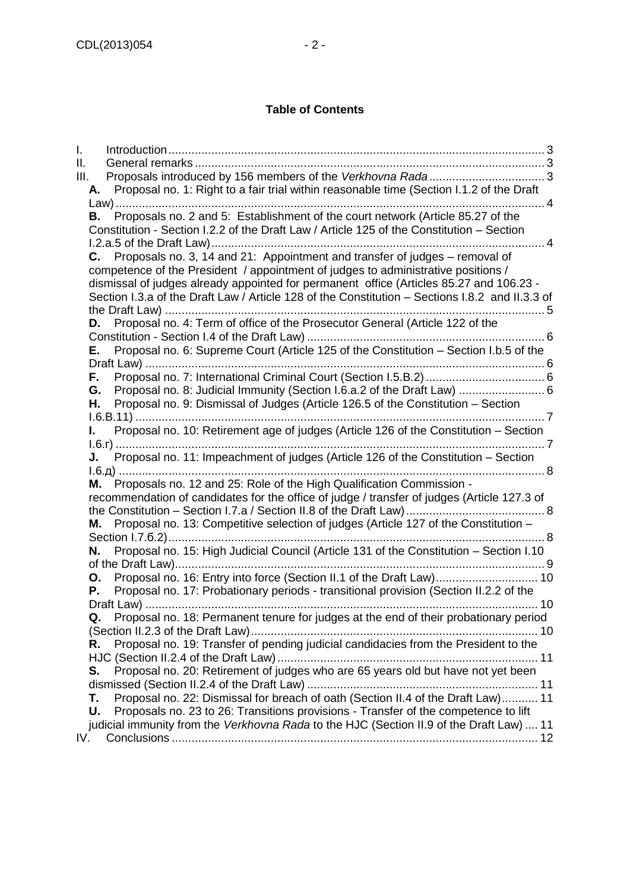#### **Table of Contents**

| I.<br>Ш.<br>Ш. |    |                                                                                                                                                                                                                                                                                 |  |
|----------------|----|---------------------------------------------------------------------------------------------------------------------------------------------------------------------------------------------------------------------------------------------------------------------------------|--|
|                | А. | Proposal no. 1: Right to a fair trial within reasonable time (Section I.1.2 of the Draft                                                                                                                                                                                        |  |
|                |    |                                                                                                                                                                                                                                                                                 |  |
|                | В. | Proposals no. 2 and 5: Establishment of the court network (Article 85.27 of the<br>Constitution - Section I.2.2 of the Draft Law / Article 125 of the Constitution – Section                                                                                                    |  |
|                | C. | Proposals no. 3, 14 and 21: Appointment and transfer of judges - removal of                                                                                                                                                                                                     |  |
|                |    | competence of the President / appointment of judges to administrative positions /<br>dismissal of judges already appointed for permanent office (Articles 85.27 and 106.23 -<br>Section I.3.a of the Draft Law / Article 128 of the Constitution - Sections I.8.2 and II.3.3 of |  |
|                | D. | Proposal no. 4: Term of office of the Prosecutor General (Article 122 of the                                                                                                                                                                                                    |  |
|                |    |                                                                                                                                                                                                                                                                                 |  |
|                | Е. | Proposal no. 6: Supreme Court (Article 125 of the Constitution - Section I.b.5 of the                                                                                                                                                                                           |  |
|                |    |                                                                                                                                                                                                                                                                                 |  |
|                | F. |                                                                                                                                                                                                                                                                                 |  |
|                | G. | Proposal no. 8: Judicial Immunity (Section I.6.a.2 of the Draft Law)  6                                                                                                                                                                                                         |  |
|                | Н. | Proposal no. 9: Dismissal of Judges (Article 126.5 of the Constitution - Section                                                                                                                                                                                                |  |
|                |    |                                                                                                                                                                                                                                                                                 |  |
|                | L. | Proposal no. 10: Retirement age of judges (Article 126 of the Constitution – Section                                                                                                                                                                                            |  |
|                |    |                                                                                                                                                                                                                                                                                 |  |
|                |    |                                                                                                                                                                                                                                                                                 |  |
|                |    |                                                                                                                                                                                                                                                                                 |  |
|                | М. | Proposals no. 12 and 25: Role of the High Qualification Commission -                                                                                                                                                                                                            |  |
|                |    | recommendation of candidates for the office of judge / transfer of judges (Article 127.3 of                                                                                                                                                                                     |  |
|                |    |                                                                                                                                                                                                                                                                                 |  |
|                | Μ. | Proposal no. 13: Competitive selection of judges (Article 127 of the Constitution -                                                                                                                                                                                             |  |
|                | Ν. | Proposal no. 15: High Judicial Council (Article 131 of the Constitution - Section I.10                                                                                                                                                                                          |  |
|                |    |                                                                                                                                                                                                                                                                                 |  |
|                | О. | Proposal no. 16: Entry into force (Section II.1 of the Draft Law) 10                                                                                                                                                                                                            |  |
|                | Ρ. | Proposal no. 17: Probationary periods - transitional provision (Section II.2.2 of the                                                                                                                                                                                           |  |
|                |    |                                                                                                                                                                                                                                                                                 |  |
|                | Q. | Proposal no. 18: Permanent tenure for judges at the end of their probationary period                                                                                                                                                                                            |  |
|                |    |                                                                                                                                                                                                                                                                                 |  |
|                | R. | Proposal no. 19: Transfer of pending judicial candidacies from the President to the                                                                                                                                                                                             |  |
|                |    |                                                                                                                                                                                                                                                                                 |  |
|                | S. | Proposal no. 20: Retirement of judges who are 65 years old but have not yet been                                                                                                                                                                                                |  |
|                |    |                                                                                                                                                                                                                                                                                 |  |
|                | Τ. | Proposal no. 22: Dismissal for breach of oath (Section II.4 of the Draft Law) 11                                                                                                                                                                                                |  |
|                | U. | Proposals no. 23 to 26: Transitions provisions - Transfer of the competence to lift                                                                                                                                                                                             |  |
|                |    | judicial immunity from the Verkhovna Rada to the HJC (Section II.9 of the Draft Law) 11                                                                                                                                                                                         |  |
| IV.            |    |                                                                                                                                                                                                                                                                                 |  |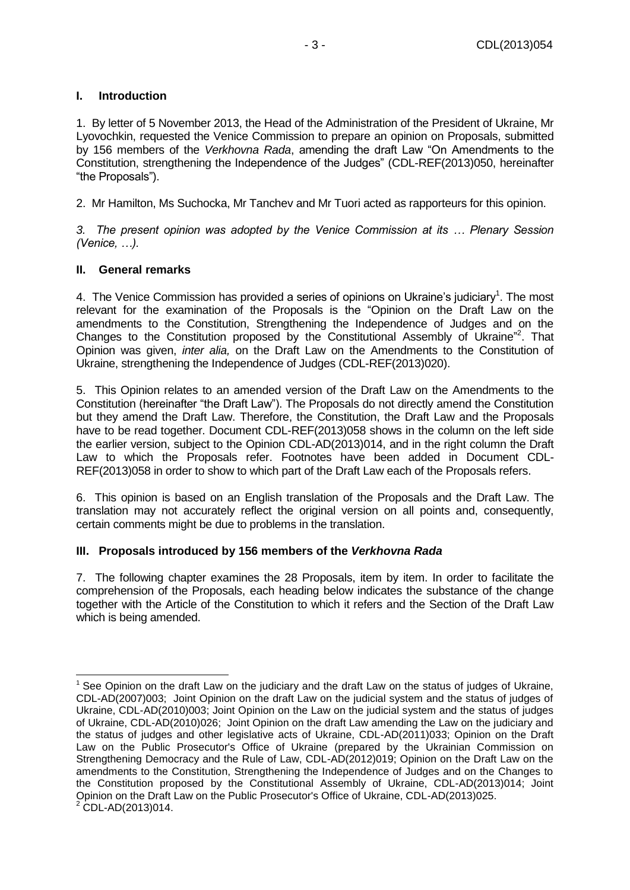#### <span id="page-2-0"></span>**I. Introduction**

1. By letter of 5 November 2013, the Head of the Administration of the President of Ukraine, Mr Lyovochkin, requested the Venice Commission to prepare an opinion on Proposals, submitted by 156 members of the *Verkhovna Rada*, amending the draft Law "On Amendments to the Constitution, strengthening the Independence of the Judges" (CDL-REF(2013)050, hereinafter "the Proposals").

2. Mr Hamilton, Ms Suchocka, Mr Tanchev and Mr Tuori acted as rapporteurs for this opinion.

*3. The present opinion was adopted by the Venice Commission at its … Plenary Session (Venice, …).*

#### <span id="page-2-1"></span>**II. General remarks**

4. The Venice Commission has provided a series of opinions on Ukraine's judiciary<sup>1</sup>. The most relevant for the examination of the Proposals is the "Opinion on the Draft Law on the amendments to the Constitution, Strengthening the Independence of Judges and on the Changes to the Constitution proposed by the Constitutional Assembly of Ukraine"<sup>2</sup>. That Opinion was given, *inter alia,* on the Draft Law on the Amendments to the Constitution of Ukraine, strengthening the Independence of Judges (CDL-REF(2013)020).

5. This Opinion relates to an amended version of the Draft Law on the Amendments to the Constitution (hereinafter "the Draft Law"). The Proposals do not directly amend the Constitution but they amend the Draft Law. Therefore, the Constitution, the Draft Law and the Proposals have to be read together. Document CDL-REF(2013)058 shows in the column on the left side the earlier version, subject to the Opinion CDL-AD(2013)014, and in the right column the Draft Law to which the Proposals refer. Footnotes have been added in Document CDL-REF(2013)058 in order to show to which part of the Draft Law each of the Proposals refers.

6. This opinion is based on an English translation of the Proposals and the Draft Law. The translation may not accurately reflect the original version on all points and, consequently, certain comments might be due to problems in the translation.

#### <span id="page-2-2"></span>**III. Proposals introduced by 156 members of the** *Verkhovna Rada*

7. The following chapter examines the 28 Proposals, item by item. In order to facilitate the comprehension of the Proposals, each heading below indicates the substance of the change together with the Article of the Constitution to which it refers and the Section of the Draft Law which is being amended.

<sup>-</sup><sup>1</sup> See Opinion on the draft Law on the judiciary and the draft Law on the status of judges of Ukraine, CDL-AD(2007)003; Joint Opinion on the draft Law on the judicial system and the status of judges of Ukraine, CDL-AD(2010)003; Joint Opinion on the Law on the judicial system and the status of judges of Ukraine, CDL-AD(2010)026; Joint Opinion on the draft Law amending the Law on the judiciary and the status of judges and other legislative acts of Ukraine, CDL-AD(2011)033; Opinion on the Draft Law on the Public Prosecutor's Office of Ukraine (prepared by the Ukrainian Commission on Strengthening Democracy and the Rule of Law, CDL-AD(2012)019; Opinion on the Draft Law on the amendments to the Constitution, Strengthening the Independence of Judges and on the Changes to the Constitution proposed by the Constitutional Assembly of Ukraine, CDL-AD(2013)014; Joint Opinion on the Draft Law on the Public Prosecutor's Office of Ukraine, CDL-AD(2013)025.  $2$  CDL-AD(2013)014.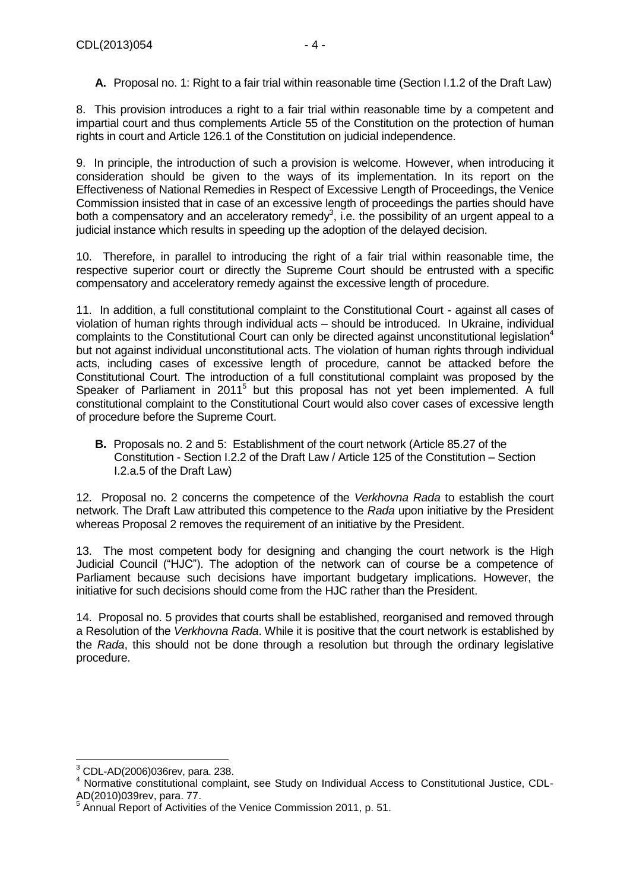<span id="page-3-0"></span>8. This provision introduces a right to a fair trial within reasonable time by a competent and impartial court and thus complements Article 55 of the Constitution on the protection of human rights in court and Article 126.1 of the Constitution on judicial independence.

9. In principle, the introduction of such a provision is welcome. However, when introducing it consideration should be given to the ways of its implementation. In its report on the Effectiveness of National Remedies in Respect of Excessive Length of Proceedings, the Venice Commission insisted that in case of an excessive length of proceedings the parties should have both a compensatory and an acceleratory remedy<sup>3</sup>, i.e. the possibility of an urgent appeal to a judicial instance which results in speeding up the adoption of the delayed decision.

10. Therefore, in parallel to introducing the right of a fair trial within reasonable time, the respective superior court or directly the Supreme Court should be entrusted with a specific compensatory and acceleratory remedy against the excessive length of procedure.

11. In addition, a full constitutional complaint to the Constitutional Court - against all cases of violation of human rights through individual acts – should be introduced. In Ukraine, individual complaints to the Constitutional Court can only be directed against unconstitutional legislation<sup>4</sup> but not against individual unconstitutional acts. The violation of human rights through individual acts, including cases of excessive length of procedure, cannot be attacked before the Constitutional Court. The introduction of a full constitutional complaint was proposed by the Speaker of Parliament in 2011<sup>5</sup> but this proposal has not yet been implemented. A full constitutional complaint to the Constitutional Court would also cover cases of excessive length of procedure before the Supreme Court.

<span id="page-3-1"></span>**B.** Proposals no. 2 and 5: Establishment of the court network (Article 85.27 of the Constitution - Section I.2.2 of the Draft Law / Article 125 of the Constitution – Section I.2.a.5 of the Draft Law)

12. Proposal no. 2 concerns the competence of the *Verkhovna Rada* to establish the court network. The Draft Law attributed this competence to the *Rada* upon initiative by the President whereas Proposal 2 removes the requirement of an initiative by the President.

13. The most competent body for designing and changing the court network is the High Judicial Council ("HJC"). The adoption of the network can of course be a competence of Parliament because such decisions have important budgetary implications. However, the initiative for such decisions should come from the HJC rather than the President.

14. Proposal no. 5 provides that courts shall be established, reorganised and removed through a Resolution of the *Verkhovna Rada*. While it is positive that the court network is established by the *Rada*, this should not be done through a resolution but through the ordinary legislative procedure.

<sup>-</sup> $3$  CDL-AD(2006)036rev, para. 238.

<sup>4</sup> Normative constitutional complaint, see Study on Individual Access to Constitutional Justice, CDL-AD(2010)039rev, para. 77. 5

Annual Report of Activities of the Venice Commission 2011, p. 51.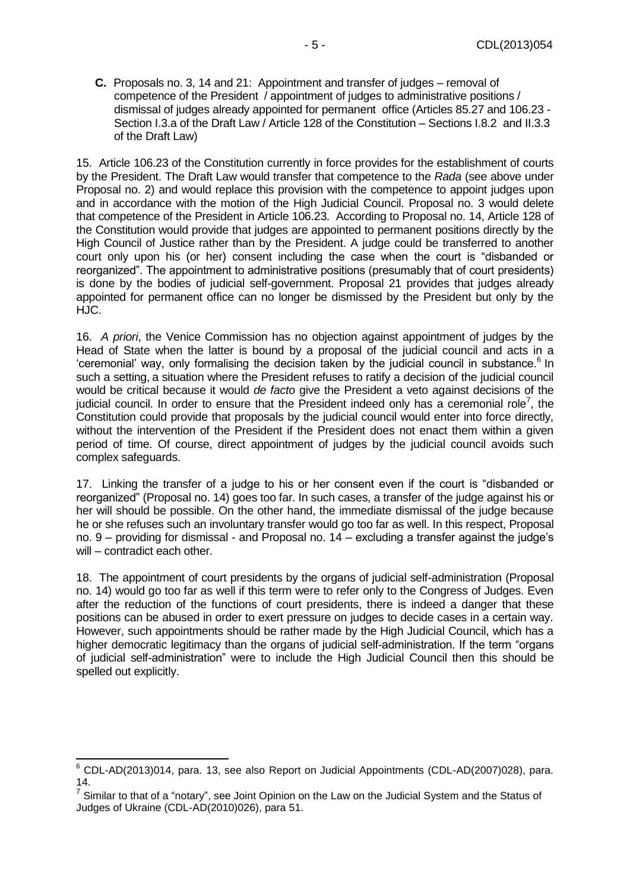<span id="page-4-0"></span>**C.** Proposals no. 3, 14 and 21: Appointment and transfer of judges – removal of competence of the President / appointment of judges to administrative positions / dismissal of judges already appointed for permanent office (Articles 85.27 and 106.23 - Section I.3.a of the Draft Law / Article 128 of the Constitution – Sections I.8.2 and II.3.3 of the Draft Law)

15. Article 106.23 of the Constitution currently in force provides for the establishment of courts by the President. The Draft Law would transfer that competence to the *Rada* (see above under Proposal no. 2) and would replace this provision with the competence to appoint judges upon and in accordance with the motion of the High Judicial Council. Proposal no. 3 would delete that competence of the President in Article 106.23. According to Proposal no. 14, Article 128 of the Constitution would provide that judges are appointed to permanent positions directly by the High Council of Justice rather than by the President. A judge could be transferred to another court only upon his (or her) consent including the case when the court is "disbanded or reorganized". The appointment to administrative positions (presumably that of court presidents) is done by the bodies of judicial self-government. Proposal 21 provides that judges already appointed for permanent office can no longer be dismissed by the President but only by the HJC.

16. *A priori*, the Venice Commission has no objection against appointment of judges by the Head of State when the latter is bound by a proposal of the judicial council and acts in a 'ceremonial' way, only formalising the decision taken by the judicial council in substance.<sup>6</sup> In such a setting, a situation where the President refuses to ratify a decision of the judicial council would be critical because it would *de facto* give the President a veto against decisions of the judicial council. In order to ensure that the President indeed only has a ceremonial role<sup>7</sup>, the Constitution could provide that proposals by the judicial council would enter into force directly, without the intervention of the President if the President does not enact them within a given period of time. Of course, direct appointment of judges by the judicial council avoids such complex safeguards.

17. Linking the transfer of a judge to his or her consent even if the court is "disbanded or reorganized" (Proposal no. 14) goes too far. In such cases, a transfer of the judge against his or her will should be possible. On the other hand, the immediate dismissal of the judge because he or she refuses such an involuntary transfer would go too far as well. In this respect, Proposal no. 9 – providing for dismissal - and Proposal no. 14 – excluding a transfer against the judge's will – contradict each other.

18. The appointment of court presidents by the organs of judicial self-administration (Proposal no. 14) would go too far as well if this term were to refer only to the Congress of Judges. Even after the reduction of the functions of court presidents, there is indeed a danger that these positions can be abused in order to exert pressure on judges to decide cases in a certain way. However, such appointments should be rather made by the High Judicial Council, which has a higher democratic legitimacy than the organs of judicial self-administration. If the term "organs of judicial self-administration" were to include the High Judicial Council then this should be spelled out explicitly.

 $6$  CDL-AD(2013)014, para. 13, see also Report on Judicial Appointments (CDL-AD(2007)028), para. 14.

 $^7$  Similar to that of a "notary", see Joint Opinion on the Law on the Judicial System and the Status of Judges of Ukraine (CDL-AD(2010)026), para 51.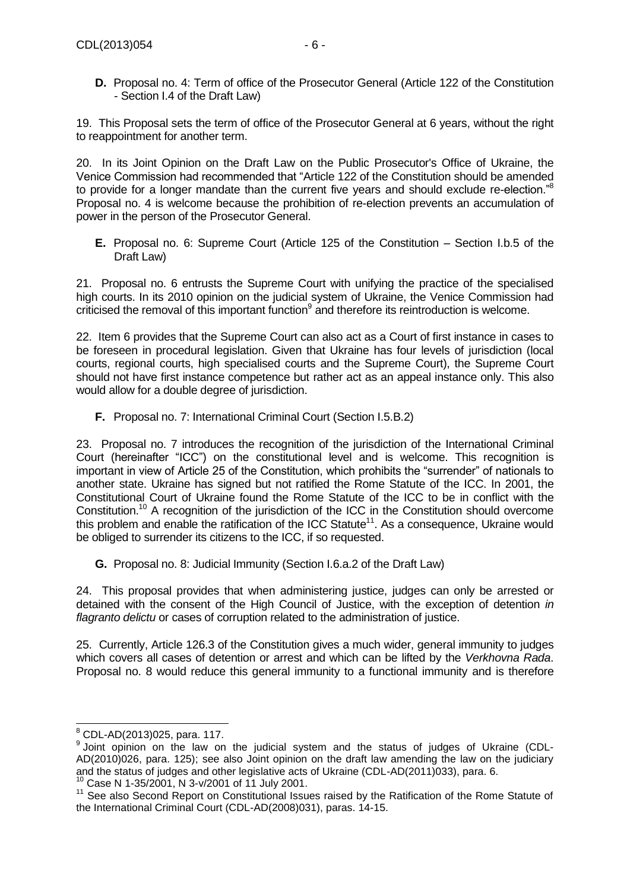<span id="page-5-0"></span>**D.** Proposal no. 4: Term of office of the Prosecutor General (Article 122 of the Constitution - Section I.4 of the Draft Law)

19. This Proposal sets the term of office of the Prosecutor General at 6 years, without the right to reappointment for another term.

20. In its Joint Opinion on the Draft Law on the Public Prosecutor's Office of Ukraine, the Venice Commission had recommended that "Article 122 of the Constitution should be amended to provide for a longer mandate than the current five years and should exclude re-election."<sup>8</sup> Proposal no. 4 is welcome because the prohibition of re-election prevents an accumulation of power in the person of the Prosecutor General.

<span id="page-5-1"></span>**E.** Proposal no. 6: Supreme Court (Article 125 of the Constitution – Section I.b.5 of the Draft Law)

21. Proposal no. 6 entrusts the Supreme Court with unifying the practice of the specialised high courts. In its 2010 opinion on the judicial system of Ukraine, the Venice Commission had criticised the removal of this important function $9$  and therefore its reintroduction is welcome.

22. Item 6 provides that the Supreme Court can also act as a Court of first instance in cases to be foreseen in procedural legislation. Given that Ukraine has four levels of jurisdiction (local courts, regional courts, high specialised courts and the Supreme Court), the Supreme Court should not have first instance competence but rather act as an appeal instance only. This also would allow for a double degree of jurisdiction.

<span id="page-5-2"></span>**F.** Proposal no. 7: International Criminal Court (Section I.5.B.2)

23. Proposal no. 7 introduces the recognition of the jurisdiction of the International Criminal Court (hereinafter "ICC") on the constitutional level and is welcome. This recognition is important in view of Article 25 of the Constitution, which prohibits the "surrender" of nationals to another state. Ukraine has signed but not ratified the Rome Statute of the ICC. In 2001, the Constitutional Court of Ukraine found the Rome Statute of the ICC to be in conflict with the Constitution.<sup>10</sup> A recognition of the jurisdiction of the ICC in the Constitution should overcome this problem and enable the ratification of the ICC Statute<sup>11</sup>. As a consequence, Ukraine would be obliged to surrender its citizens to the ICC, if so requested.

<span id="page-5-3"></span>**G.** Proposal no. 8: Judicial Immunity (Section I.6.a.2 of the Draft Law)

24. This proposal provides that when administering justice, judges can only be arrested or detained with the consent of the High Council of Justice, with the exception of detention *in flagranto delictu* or cases of corruption related to the administration of justice.

25. Currently, Article 126.3 of the Constitution gives a much wider, general immunity to judges which covers all cases of detention or arrest and which can be lifted by the *Verkhovna Rada*. Proposal no. 8 would reduce this general immunity to a functional immunity and is therefore

<sup>-</sup> $8$  CDL-AD(2013)025, para. 117.

<sup>&</sup>lt;sup>9</sup> Joint opinion on the law on the judicial system and the status of judges of Ukraine (CDL-AD(2010)026, para. 125); see also Joint opinion on the draft law amending the law on the judiciary and the status of judges and other legislative acts of Ukraine (CDL-AD(2011)033), para. 6.

<sup>10</sup> Case N 1-35/2001, N 3-v/2001 of 11 July 2001.

<sup>&</sup>lt;sup>11</sup> See also Second Report on Constitutional Issues raised by the Ratification of the Rome Statute of the International Criminal Court (CDL-AD(2008)031), paras. 14-15.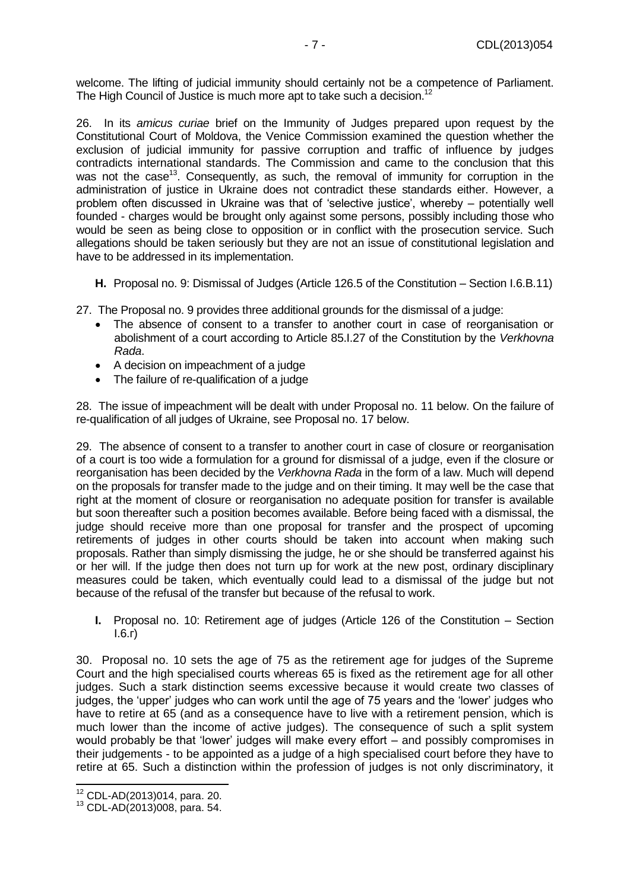welcome. The lifting of judicial immunity should certainly not be a competence of Parliament. The High Council of Justice is much more apt to take such a decision.<sup>12</sup>

26. In its *amicus curiae* brief on the Immunity of Judges prepared upon request by the Constitutional Court of Moldova, the Venice Commission examined the question whether the exclusion of judicial immunity for passive corruption and traffic of influence by judges contradicts international standards. The Commission and came to the conclusion that this was not the case<sup>13</sup>. Consequently, as such, the removal of immunity for corruption in the administration of justice in Ukraine does not contradict these standards either. However, a problem often discussed in Ukraine was that of 'selective justice', whereby – potentially well founded - charges would be brought only against some persons, possibly including those who would be seen as being close to opposition or in conflict with the prosecution service. Such allegations should be taken seriously but they are not an issue of constitutional legislation and have to be addressed in its implementation.

<span id="page-6-0"></span>**H.** Proposal no. 9: Dismissal of Judges (Article 126.5 of the Constitution – Section I.6.B.11)

27. The Proposal no. 9 provides three additional grounds for the dismissal of a judge:

- The absence of consent to a transfer to another court in case of reorganisation or abolishment of a court according to Article 85.I.27 of the Constitution by the *Verkhovna Rada*.
- A decision on impeachment of a judge
- The failure of re-qualification of a judge

28. The issue of impeachment will be dealt with under Proposal no. 11 below. On the failure of re-qualification of all judges of Ukraine, see Proposal no. 17 below.

29. The absence of consent to a transfer to another court in case of closure or reorganisation of a court is too wide a formulation for a ground for dismissal of a judge, even if the closure or reorganisation has been decided by the *Verkhovna Rada* in the form of a law. Much will depend on the proposals for transfer made to the judge and on their timing. It may well be the case that right at the moment of closure or reorganisation no adequate position for transfer is available but soon thereafter such a position becomes available. Before being faced with a dismissal, the judge should receive more than one proposal for transfer and the prospect of upcoming retirements of judges in other courts should be taken into account when making such proposals. Rather than simply dismissing the judge, he or she should be transferred against his or her will. If the judge then does not turn up for work at the new post, ordinary disciplinary measures could be taken, which eventually could lead to a dismissal of the judge but not because of the refusal of the transfer but because of the refusal to work.

<span id="page-6-1"></span>**I.** Proposal no. 10: Retirement age of judges (Article 126 of the Constitution – Section I.6.г)

30. Proposal no. 10 sets the age of 75 as the retirement age for judges of the Supreme Court and the high specialised courts whereas 65 is fixed as the retirement age for all other judges. Such a stark distinction seems excessive because it would create two classes of judges, the 'upper' judges who can work until the age of 75 years and the 'lower' judges who have to retire at 65 (and as a consequence have to live with a retirement pension, which is much lower than the income of active judges). The consequence of such a split system would probably be that 'lower' judges will make every effort – and possibly compromises in their judgements - to be appointed as a judge of a high specialised court before they have to retire at 65. Such a distinction within the profession of judges is not only discriminatory, it

<sup>12</sup> CDL-AD(2013)014, para. 20.

<sup>13</sup> CDL-AD(2013)008, para. 54.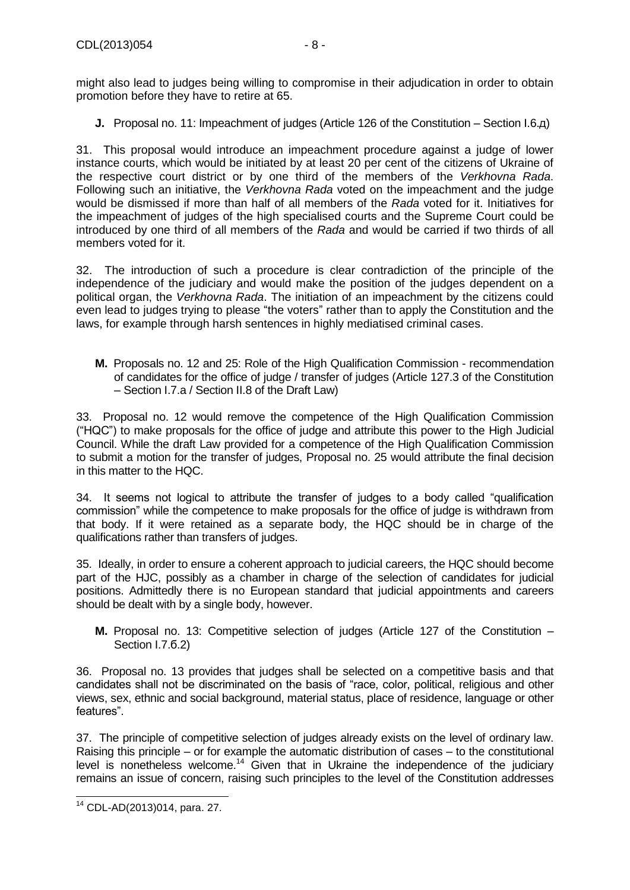might also lead to judges being willing to compromise in their adjudication in order to obtain promotion before they have to retire at 65.

<span id="page-7-0"></span>**J.** Proposal no. 11: Impeachment of judges (Article 126 of the Constitution – Section I.6.д)

31. This proposal would introduce an impeachment procedure against a judge of lower instance courts, which would be initiated by at least 20 per cent of the citizens of Ukraine of the respective court district or by one third of the members of the *Verkhovna Rada*. Following such an initiative, the *Verkhovna Rada* voted on the impeachment and the judge would be dismissed if more than half of all members of the *Rada* voted for it. Initiatives for the impeachment of judges of the high specialised courts and the Supreme Court could be introduced by one third of all members of the *Rada* and would be carried if two thirds of all members voted for it.

32. The introduction of such a procedure is clear contradiction of the principle of the independence of the judiciary and would make the position of the judges dependent on a political organ, the *Verkhovna Rada*. The initiation of an impeachment by the citizens could even lead to judges trying to please "the voters" rather than to apply the Constitution and the laws, for example through harsh sentences in highly mediatised criminal cases.

<span id="page-7-1"></span>**M.** Proposals no. 12 and 25: Role of the High Qualification Commission - recommendation of candidates for the office of judge / transfer of judges (Article 127.3 of the Constitution – Section I.7.a / Section II.8 of the Draft Law)

33. Proposal no. 12 would remove the competence of the High Qualification Commission ("HQC") to make proposals for the office of judge and attribute this power to the High Judicial Council. While the draft Law provided for a competence of the High Qualification Commission to submit a motion for the transfer of judges, Proposal no. 25 would attribute the final decision in this matter to the HQC.

34. It seems not logical to attribute the transfer of judges to a body called "qualification commission" while the competence to make proposals for the office of judge is withdrawn from that body. If it were retained as a separate body, the HQC should be in charge of the qualifications rather than transfers of judges.

35. Ideally, in order to ensure a coherent approach to judicial careers, the HQC should become part of the HJC, possibly as a chamber in charge of the selection of candidates for judicial positions. Admittedly there is no European standard that judicial appointments and careers should be dealt with by a single body, however.

<span id="page-7-2"></span>**M.** Proposal no. 13: Competitive selection of judges (Article 127 of the Constitution – Section I.7.6.2)

36. Proposal no. 13 provides that judges shall be selected on a competitive basis and that candidates shall not be discriminated on the basis of "race, color, political, religious and other views, sex, ethnic and social background, material status, place of residence, language or other features".

37. The principle of competitive selection of judges already exists on the level of ordinary law. Raising this principle – or for example the automatic distribution of cases – to the constitutional level is nonetheless welcome.<sup>14</sup> Given that in Ukraine the independence of the judiciary remains an issue of concern, raising such principles to the level of the Constitution addresses

<sup>-</sup><sup>14</sup> CDL-AD(2013)014, para. 27.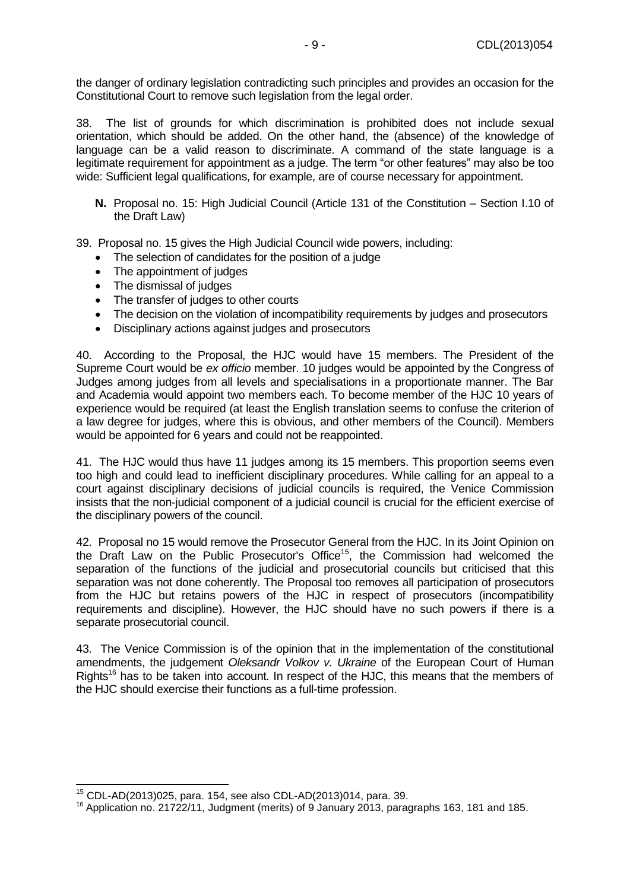the danger of ordinary legislation contradicting such principles and provides an occasion for the Constitutional Court to remove such legislation from the legal order.

38. The list of grounds for which discrimination is prohibited does not include sexual orientation, which should be added. On the other hand, the (absence) of the knowledge of language can be a valid reason to discriminate. A command of the state language is a legitimate requirement for appointment as a judge. The term "or other features" may also be too wide: Sufficient legal qualifications, for example, are of course necessary for appointment.

<span id="page-8-0"></span>**N.** Proposal no. 15: High Judicial Council (Article 131 of the Constitution – Section I.10 of the Draft Law)

39. Proposal no. 15 gives the High Judicial Council wide powers, including:

- The selection of candidates for the position of a judge
- The appointment of judges
- The dismissal of judges
- The transfer of judges to other courts
- The decision on the violation of incompatibility requirements by judges and prosecutors
- Disciplinary actions against judges and prosecutors

40. According to the Proposal, the HJC would have 15 members. The President of the Supreme Court would be *ex officio* member. 10 judges would be appointed by the Congress of Judges among judges from all levels and specialisations in a proportionate manner. The Bar and Academia would appoint two members each. To become member of the HJC 10 years of experience would be required (at least the English translation seems to confuse the criterion of a law degree for judges, where this is obvious, and other members of the Council). Members would be appointed for 6 years and could not be reappointed.

41. The HJC would thus have 11 judges among its 15 members. This proportion seems even too high and could lead to inefficient disciplinary procedures. While calling for an appeal to a court against disciplinary decisions of judicial councils is required, the Venice Commission insists that the non-judicial component of a judicial council is crucial for the efficient exercise of the disciplinary powers of the council.

42. Proposal no 15 would remove the Prosecutor General from the HJC. In its Joint Opinion on the Draft Law on the Public Prosecutor's Office<sup>15</sup>, the Commission had welcomed the separation of the functions of the judicial and prosecutorial councils but criticised that this separation was not done coherently. The Proposal too removes all participation of prosecutors from the HJC but retains powers of the HJC in respect of prosecutors (incompatibility requirements and discipline). However, the HJC should have no such powers if there is a separate prosecutorial council.

43. The Venice Commission is of the opinion that in the implementation of the constitutional amendments, the judgement *Oleksandr Volkov v. Ukraine* of the European Court of Human Rights<sup>16</sup> has to be taken into account. In respect of the HJC, this means that the members of the HJC should exercise their functions as a full-time profession.

<sup>15</sup> CDL-AD(2013)025, para. 154, see also CDL-AD(2013)014, para. 39.

<sup>&</sup>lt;sup>16</sup> Application no. 21722/11, Judgment (merits) of 9 January 2013, paragraphs 163, 181 and 185.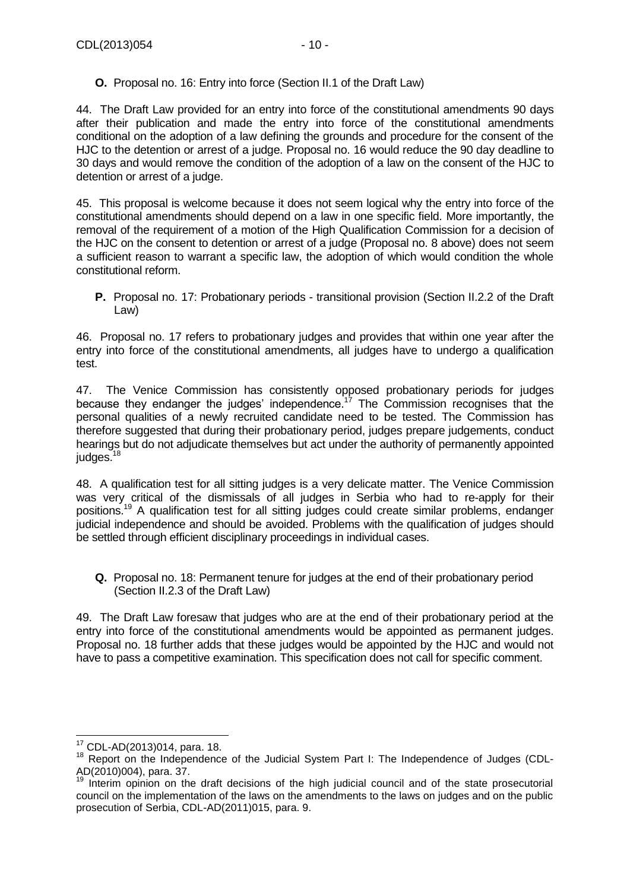<span id="page-9-0"></span>**O.** Proposal no. 16: Entry into force (Section II.1 of the Draft Law)

44. The Draft Law provided for an entry into force of the constitutional amendments 90 days after their publication and made the entry into force of the constitutional amendments conditional on the adoption of a law defining the grounds and procedure for the consent of the HJC to the detention or arrest of a judge. Proposal no. 16 would reduce the 90 day deadline to 30 days and would remove the condition of the adoption of a law on the consent of the HJC to detention or arrest of a judge.

45. This proposal is welcome because it does not seem logical why the entry into force of the constitutional amendments should depend on a law in one specific field. More importantly, the removal of the requirement of a motion of the High Qualification Commission for a decision of the HJC on the consent to detention or arrest of a judge (Proposal no. 8 above) does not seem a sufficient reason to warrant a specific law, the adoption of which would condition the whole constitutional reform.

<span id="page-9-1"></span>**P.** Proposal no. 17: Probationary periods - transitional provision (Section II.2.2 of the Draft Law)

46. Proposal no. 17 refers to probationary judges and provides that within one year after the entry into force of the constitutional amendments, all judges have to undergo a qualification test.

47. The Venice Commission has consistently opposed probationary periods for judges because they endanger the judges' independence.<sup>17</sup> The Commission recognises that the personal qualities of a newly recruited candidate need to be tested. The Commission has therefore suggested that during their probationary period, judges prepare judgements, conduct hearings but do not adjudicate themselves but act under the authority of permanently appointed  $judges.<sup>18</sup>$ 

48. A qualification test for all sitting judges is a very delicate matter. The Venice Commission was very critical of the dismissals of all judges in Serbia who had to re-apply for their positions.<sup>19</sup> A qualification test for all sitting judges could create similar problems, endanger judicial independence and should be avoided. Problems with the qualification of judges should be settled through efficient disciplinary proceedings in individual cases.

<span id="page-9-2"></span>**Q.** Proposal no. 18: Permanent tenure for judges at the end of their probationary period (Section II.2.3 of the Draft Law)

49. The Draft Law foresaw that judges who are at the end of their probationary period at the entry into force of the constitutional amendments would be appointed as permanent judges. Proposal no. 18 further adds that these judges would be appointed by the HJC and would not have to pass a competitive examination. This specification does not call for specific comment.

 $\overline{a}$ <sup>17</sup> CDL-AD(2013)014, para. 18.

<sup>&</sup>lt;sup>18</sup> Report on the Independence of the Judicial System Part I: The Independence of Judges (CDL-AD(2010)004), para. 37.

<sup>&</sup>lt;sup>19</sup> Interim opinion on the draft decisions of the high judicial council and of the state prosecutorial council on the implementation of the laws on the amendments to the laws on judges and on the public prosecution of Serbia, CDL-AD(2011)015, para. 9.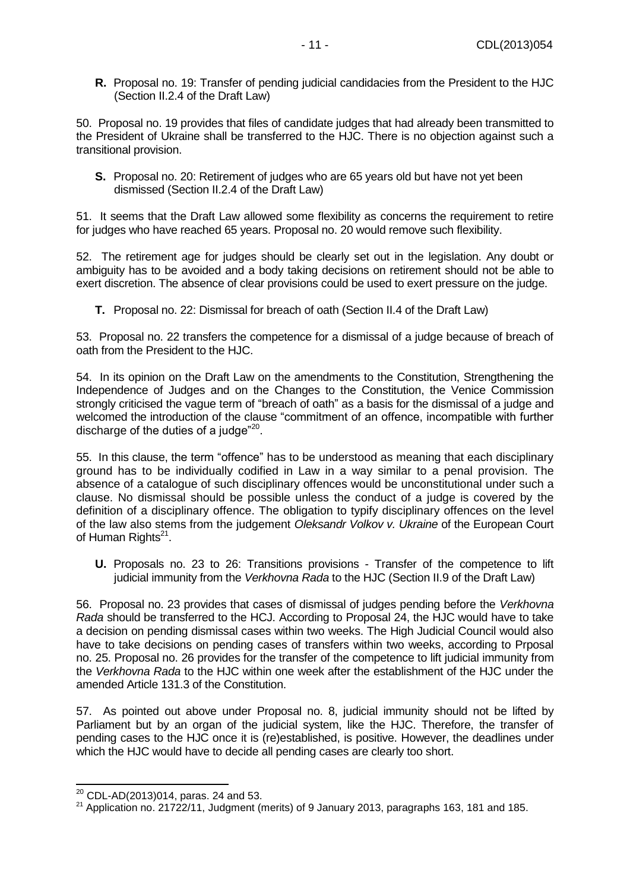<span id="page-10-0"></span>**R.** Proposal no. 19: Transfer of pending judicial candidacies from the President to the HJC (Section II.2.4 of the Draft Law)

50. Proposal no. 19 provides that files of candidate judges that had already been transmitted to the President of Ukraine shall be transferred to the HJC. There is no objection against such a transitional provision.

<span id="page-10-1"></span>**S.** Proposal no. 20: Retirement of judges who are 65 years old but have not yet been dismissed (Section II.2.4 of the Draft Law)

51. It seems that the Draft Law allowed some flexibility as concerns the requirement to retire for judges who have reached 65 years. Proposal no. 20 would remove such flexibility.

52. The retirement age for judges should be clearly set out in the legislation. Any doubt or ambiguity has to be avoided and a body taking decisions on retirement should not be able to exert discretion. The absence of clear provisions could be used to exert pressure on the judge.

<span id="page-10-2"></span>**T.** Proposal no. 22: Dismissal for breach of oath (Section II.4 of the Draft Law)

53. Proposal no. 22 transfers the competence for a dismissal of a judge because of breach of oath from the President to the HJC.

54. In its opinion on the Draft Law on the amendments to the Constitution, Strengthening the Independence of Judges and on the Changes to the Constitution, the Venice Commission strongly criticised the vague term of "breach of oath" as a basis for the dismissal of a judge and welcomed the introduction of the clause "commitment of an offence, incompatible with further discharge of the duties of a judge" $20$ .

55. In this clause, the term "offence" has to be understood as meaning that each disciplinary ground has to be individually codified in Law in a way similar to a penal provision. The absence of a catalogue of such disciplinary offences would be unconstitutional under such a clause. No dismissal should be possible unless the conduct of a judge is covered by the definition of a disciplinary offence. The obligation to typify disciplinary offences on the level of the law also stems from the judgement *Oleksandr Volkov v. Ukraine* of the European Court of Human Rights<sup>21</sup>.

<span id="page-10-3"></span>**U.** Proposals no. 23 to 26: Transitions provisions - Transfer of the competence to lift judicial immunity from the *Verkhovna Rada* to the HJC (Section II.9 of the Draft Law)

56. Proposal no. 23 provides that cases of dismissal of judges pending before the *Verkhovna Rada* should be transferred to the HCJ. According to Proposal 24, the HJC would have to take a decision on pending dismissal cases within two weeks. The High Judicial Council would also have to take decisions on pending cases of transfers within two weeks, according to Prposal no. 25. Proposal no. 26 provides for the transfer of the competence to lift judicial immunity from the *Verkhovna Rada* to the HJC within one week after the establishment of the HJC under the amended Article 131.3 of the Constitution.

57. As pointed out above under Proposal no. 8, judicial immunity should not be lifted by Parliament but by an organ of the judicial system, like the HJC. Therefore, the transfer of pending cases to the HJC once it is (re)established, is positive. However, the deadlines under which the HJC would have to decide all pending cases are clearly too short.

 $^{20}$  CDL-AD(2013)014, paras. 24 and 53.

 $21$  Application no. 21722/11, Judgment (merits) of 9 January 2013, paragraphs 163, 181 and 185.